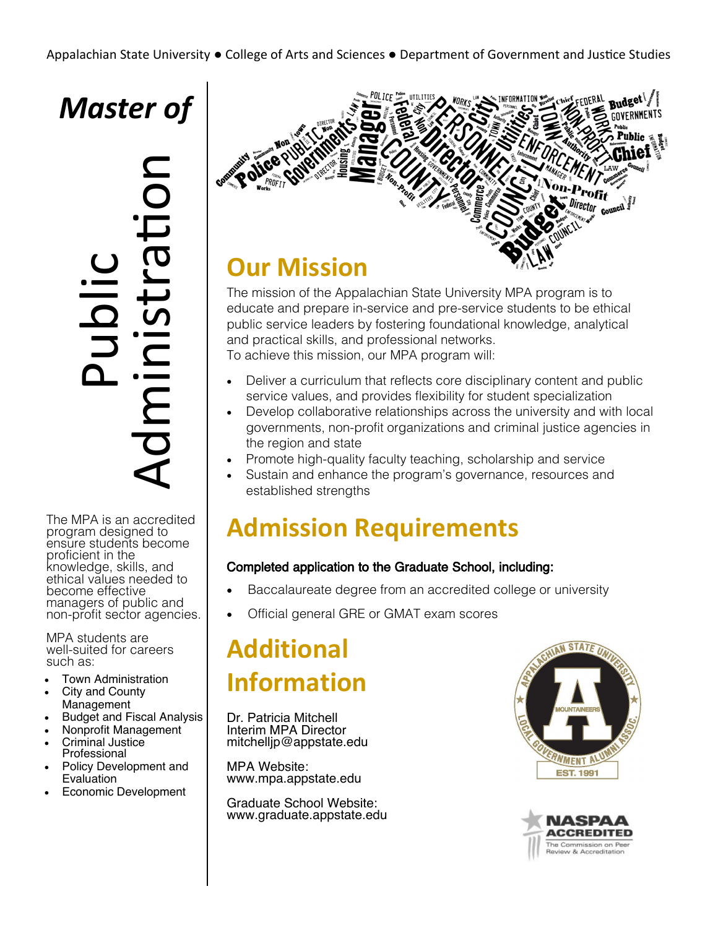# *Master of*

Public Administration

The MPA is an accredited program designed to ensure students become proficient in the knowledge, skills, and ethical values needed to become effective managers of public and non-profit sector agencies.

MPA students are well-suited for careers such as:

- Town Administration
- City and County Management
- Budget and Fiscal Analysis
- Nonprofit Management
- Criminal Justice Professional
- Policy Development and Evaluation
- Economic Development



## **Our Mission**

The mission of the Appalachian State University MPA program is to educate and prepare in-service and pre-service students to be ethical public service leaders by fostering foundational knowledge, analytical and practical skills, and professional networks. To achieve this mission, our MPA program will:

- Deliver a curriculum that reflects core disciplinary content and public service values, and provides flexibility for student specialization
- Develop collaborative relationships across the university and with local governments, non-profit organizations and criminal justice agencies in the region and state
- Promote high-quality faculty teaching, scholarship and service
- Sustain and enhance the program's governance, resources and established strengths

## **Admission Requirements**

## Completed application to the Graduate School, including:

- Baccalaureate degree from an accredited college or university
- Official general GRE or GMAT exam scores

# **Additional Information**

Dr. Patricia Mitchell Interim MPA Director mitchelljp@appstate.edu

MPA Website: www.mpa.appstate.edu

Graduate School Website: www.graduate.appstate.edu